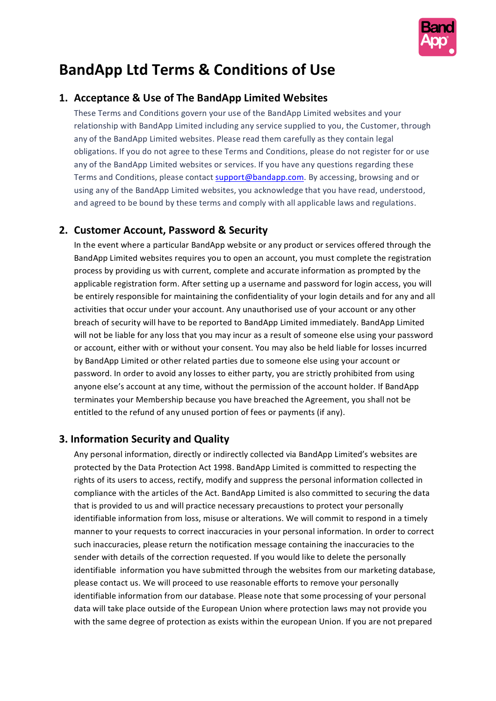

# **BandApp Ltd Terms & Conditions of Use**

## **1. Acceptance'&'Use'of'The'BandApp'Limited'Websites**

These Terms and Conditions govern your use of the BandApp Limited websites and your relationship with BandApp Limited including any service supplied to you, the Customer, through any of the BandApp Limited websites. Please read them carefully as they contain legal obligations. If you do not agree to these Terms and Conditions, please do not register for or use any of the BandApp Limited websites or services. If you have any questions regarding these Terms and Conditions, please contact support@bandapp.com. By accessing, browsing and or using any of the BandApp Limited websites, you acknowledge that you have read, understood, and agreed to be bound by these terms and comply with all applicable laws and regulations.

## **2. Customer Account, Password & Security**

In the event where a particular BandApp website or any product or services offered through the BandApp Limited websites requires you to open an account, you must complete the registration process by providing us with current, complete and accurate information as prompted by the applicable registration form. After setting up a username and password for login access, you will be entirely responsible for maintaining the confidentiality of your login details and for any and all activities that occur under your account. Any unauthorised use of your account or any other breach of security will have to be reported to BandApp Limited immediately. BandApp Limited will not be liable for any loss that you may incur as a result of someone else using your password or account, either with or without your consent. You may also be held liable for losses incurred by BandApp Limited or other related parties due to someone else using your account or password. In order to avoid any losses to either party, you are strictly prohibited from using anyone else's account at any time, without the permission of the account holder. If BandApp terminates your Membership because you have breached the Agreement, you shall not be entitled to the refund of any unused portion of fees or payments (if any).

## **3. Information Security and Quality**

Any personal information, directly or indirectly collected via BandApp Limited's websites are protected by the Data Protection Act 1998. BandApp Limited is committed to respecting the rights of its users to access, rectify, modify and suppress the personal information collected in compliance with the articles of the Act. BandApp Limited is also committed to securing the data that is provided to us and will practice necessary precaustions to protect your personally identifiable information from loss, misuse or alterations. We will commit to respond in a timely manner to your requests to correct inaccuracies in your personal information. In order to correct such inaccuracies, please return the notification message containing the inaccuracies to the sender with details of the correction requested. If you would like to delete the personally identifiable information you have submitted through the websites from our marketing database, please contact us. We will proceed to use reasonable efforts to remove your personally identifiable information from our database. Please note that some processing of your personal data will take place outside of the European Union where protection laws may not provide you with the same degree of protection as exists within the european Union. If you are not prepared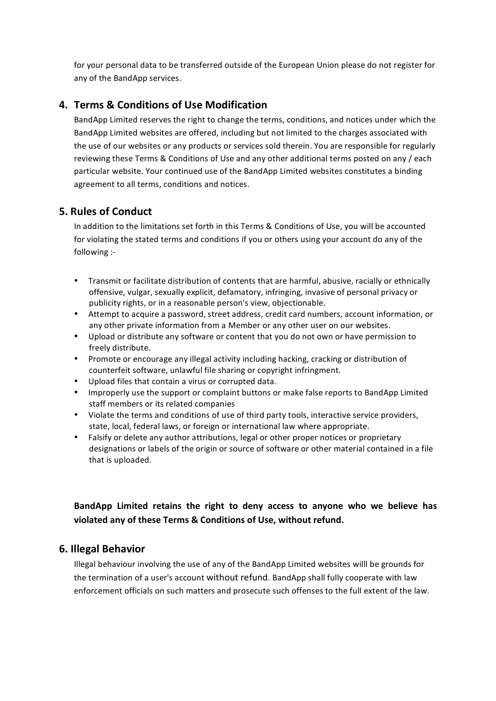for your personal data to be transferred outside of the European Union please do not register for any of the BandApp services.

## **4. Terms'&'Conditions'of'Use'Modification**

BandApp Limited reserves the right to change the terms, conditions, and notices under which the BandApp Limited websites are offered, including but not limited to the charges associated with the use of our websites or any products or services sold therein. You are responsible for regularly reviewing these Terms & Conditions of Use and any other additional terms posted on any / each particular website. Your continued use of the BandApp Limited websites constitutes a binding agreement to all terms, conditions and notices.

## **5. Rules of Conduct**

In addition to the limitations set forth in this Terms & Conditions of Use, you will be accounted for violating the stated terms and conditions if you or others using your account do any of the following :-

- Transmit or facilitate distribution of contents that are harmful, abusive, racially or ethnically offensive, vulgar, sexually explicit, defamatory, infringing, invasive of personal privacy or publicity rights, or in a reasonable person's view, objectionable.
- Attempt to acquire a password, street address, credit card numbers, account information, or any other private information from a Member or any other user on our websites.
- Upload or distribute any software or content that you do not own or have permission to freely distribute.
- Promote or encourage any illegal activity including hacking, cracking or distribution of counterfeit software, unlawful file sharing or copyright infringment.
- Upload files that contain a virus or corrupted data.
- Improperly use the support or complaint buttons or make false reports to BandApp Limited staff members or its related companies
- Violate the terms and conditions of use of third party tools, interactive service providers, state, local, federal laws, or foreign or international law where appropriate.
- Falsify or delete any author attributions, legal or other proper notices or proprietary designations or labels of the origin or source of software or other material contained in a file that is uploaded.

BandApp Limited retains the right to deny access to anyone who we believe has **violated'any'of'these'Terms'&'Conditions'of'Use,'without'refund.**

## **6.'Illegal'Behavior**

Illegal behaviour involving the use of any of the BandApp Limited websites willl be grounds for the termination of a user's account without refund. BandApp shall fully cooperate with law enforcement officials on such matters and prosecute such offenses to the full extent of the law.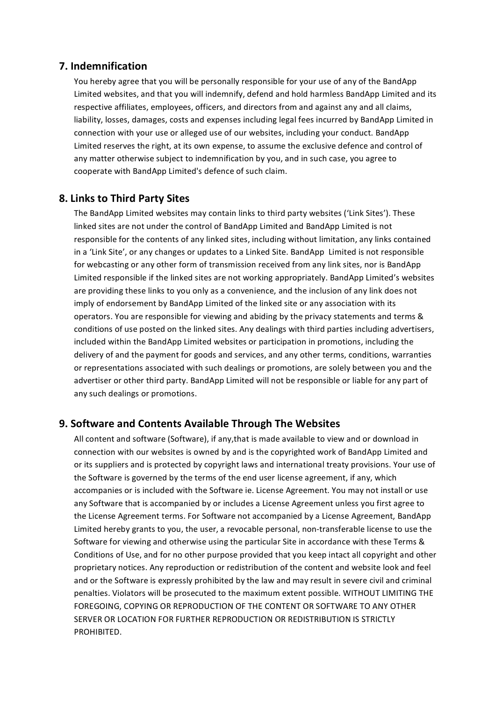#### **7.'Indemnification**

You hereby agree that you will be personally responsible for your use of any of the BandApp Limited websites, and that you will indemnify, defend and hold harmless BandApp Limited and its respective affiliates, employees, officers, and directors from and against any and all claims, liability, losses, damages, costs and expenses including legal fees incurred by BandApp Limited in connection with your use or alleged use of our websites, including your conduct. BandApp Limited reserves the right, at its own expense, to assume the exclusive defence and control of any matter otherwise subject to indemnification by you, and in such case, you agree to cooperate with BandApp Limited's defence of such claim.

#### **8. Links to Third Party Sites**

The BandApp Limited websites may contain links to third party websites ('Link Sites'). These linked sites are not under the control of BandApp Limited and BandApp Limited is not responsible for the contents of any linked sites, including without limitation, any links contained in a 'Link Site', or any changes or updates to a Linked Site. BandApp Limited is not responsible for webcasting or any other form of transmission received from any link sites, nor is BandApp Limited responsible if the linked sites are not working appropriately. BandApp Limited's websites are providing these links to you only as a convenience, and the inclusion of any link does not imply of endorsement by BandApp Limited of the linked site or any association with its operators. You are responsible for viewing and abiding by the privacy statements and terms & conditions of use posted on the linked sites. Any dealings with third parties including advertisers, included within the BandApp Limited websites or participation in promotions, including the delivery of and the payment for goods and services, and any other terms, conditions, warranties or representations associated with such dealings or promotions, are solely between you and the advertiser or other third party. BandApp Limited will not be responsible or liable for any part of any such dealings or promotions.

#### **9. Software and Contents Available Through The Websites**

All content and software (Software), if any,that is made available to view and or download in connection with our websites is owned by and is the copyrighted work of BandApp Limited and or its suppliers and is protected by copyright laws and international treaty provisions. Your use of the Software is governed by the terms of the end user license agreement, if any, which accompanies or is included with the Software ie. License Agreement. You may not install or use any Software that is accompanied by or includes a License Agreement unless you first agree to the License Agreement terms. For Software not accompanied by a License Agreement, BandApp Limited hereby grants to you, the user, a revocable personal, non-transferable license to use the Software for viewing and otherwise using the particular Site in accordance with these Terms & Conditions of Use, and for no other purpose provided that you keep intact all copyright and other proprietary notices. Any reproduction or redistribution of the content and website look and feel and or the Software is expressly prohibited by the law and may result in severe civil and criminal penalties. Violators will be prosecuted to the maximum extent possible. WITHOUT LIMITING THE FOREGOING, COPYING OR REPRODUCTION OF THE CONTENT OR SOFTWARE TO ANY OTHER SERVER OR LOCATION FOR FURTHER REPRODUCTION OR REDISTRIBUTION IS STRICTLY PROHIBITED.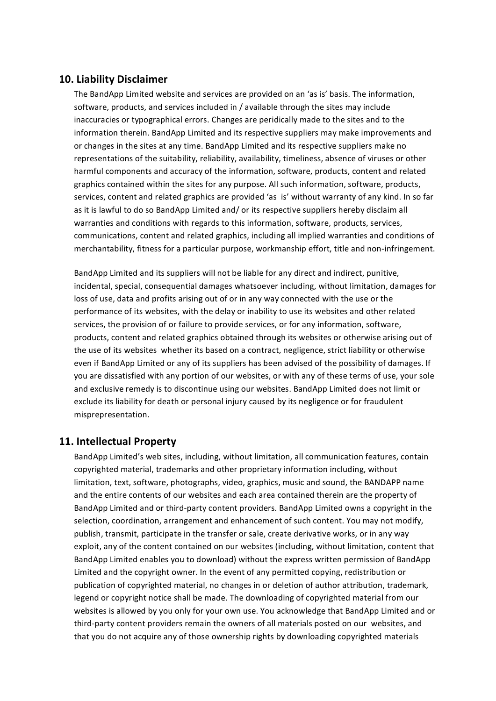#### **10. Liability Disclaimer**

The BandApp Limited website and services are provided on an 'as is' basis. The information, software, products, and services included in  $\ell$  available through the sites may include inaccuracies or typographical errors. Changes are peridically made to the sites and to the information therein. BandApp Limited and its respective suppliers may make improvements and or changes in the sites at any time. BandApp Limited and its respective suppliers make no representations of the suitability, reliability, availability, timeliness, absence of viruses or other harmful components and accuracy of the information, software, products, content and related graphics contained within the sites for any purpose. All such information, software, products, services, content and related graphics are provided 'as is' without warranty of any kind. In so far as it is lawful to do so BandApp Limited and/ or its respective suppliers hereby disclaim all warranties and conditions with regards to this information, software, products, services, communications, content and related graphics, including all implied warranties and conditions of merchantability, fitness for a particular purpose, workmanship effort, title and non-infringement.

BandApp Limited and its suppliers will not be liable for any direct and indirect, punitive, incidental, special, consequential damages whatsoever including, without limitation, damages for loss of use, data and profits arising out of or in any way connected with the use or the performance of its websites, with the delay or inability to use its websites and other related services, the provision of or failure to provide services, or for any information, software, products, content and related graphics obtained through its websites or otherwise arising out of the use of its websites whether its based on a contract, negligence, strict liability or otherwise even if BandApp Limited or any of its suppliers has been advised of the possibility of damages. If you are dissatisfied with any portion of our websites, or with any of these terms of use, your sole and exclusive remedy is to discontinue using our websites. BandApp Limited does not limit or exclude its liability for death or personal injury caused by its negligence or for fraudulent misprepresentation.

#### 11. Intellectual Property

BandApp Limited's web sites, including, without limitation, all communication features, contain copyrighted material, trademarks and other proprietary information including, without limitation, text, software, photographs, video, graphics, music and sound, the BANDAPP name and the entire contents of our websites and each area contained therein are the property of BandApp Limited and or third-party content providers. BandApp Limited owns a copyright in the selection, coordination, arrangement and enhancement of such content. You may not modify, publish, transmit, participate in the transfer or sale, create derivative works, or in any way exploit, any of the content contained on our websites (including, without limitation, content that BandApp Limited enables you to download) without the express written permission of BandApp Limited and the copyright owner. In the event of any permitted copying, redistribution or publication of copyrighted material, no changes in or deletion of author attribution, trademark, legend or copyright notice shall be made. The downloading of copyrighted material from our websites is allowed by you only for your own use. You acknowledge that BandApp Limited and or third-party content providers remain the owners of all materials posted on our websites, and that you do not acquire any of those ownership rights by downloading copyrighted materials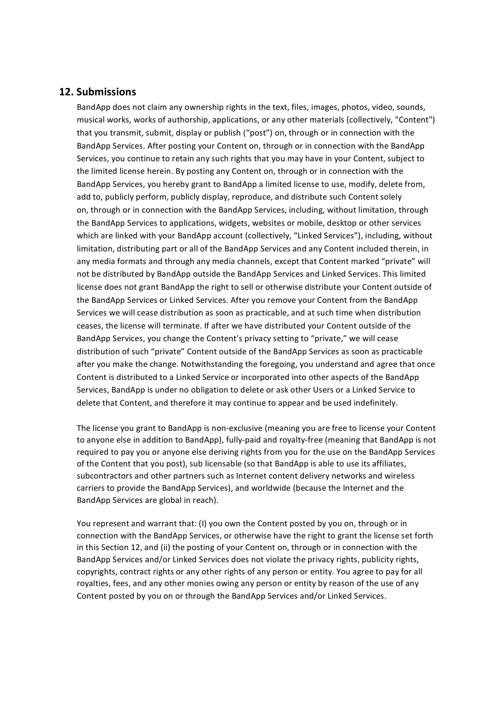#### 12. Submissions

BandApp does not claim any ownership rights in the text, files, images, photos, video, sounds, musical works, works of authorship, applications, or any other materials (collectively, "Content") that you transmit, submit, display or publish ("post") on, through or in connection with the BandApp Services. After posting your Content on, through or in connection with the BandApp Services, you continue to retain any such rights that you may have in your Content, subject to the limited license herein. By posting any Content on, through or in connection with the BandApp Services, you hereby grant to BandApp a limited license to use, modify, delete from, add to, publicly perform, publicly display, reproduce, and distribute such Content solely on, through or in connection with the BandApp Services, including, without limitation, through the BandApp Services to applications, widgets, websites or mobile, desktop or other services which are linked with your BandApp account (collectively, "Linked Services"), including, without limitation, distributing part or all of the BandApp Services and any Content included therein, in any media formats and through any media channels, except that Content marked "private" will not be distributed by BandApp outside the BandApp Services and Linked Services. This limited license does not grant BandApp the right to sell or otherwise distribute your Content outside of the BandApp Services or Linked Services. After you remove your Content from the BandApp Services we will cease distribution as soon as practicable, and at such time when distribution ceases, the license will terminate. If after we have distributed your Content outside of the BandApp Services, you change the Content's privacy setting to "private," we will cease distribution of such "private" Content outside of the BandApp Services as soon as practicable after you make the change. Notwithstanding the foregoing, you understand and agree that once Content is distributed to a Linked Service or incorporated into other aspects of the BandApp Services, BandApp is under no obligation to delete or ask other Users or a Linked Service to delete that Content, and therefore it may continue to appear and be used indefinitely.

The license you grant to BandApp is non-exclusive (meaning you are free to license your Content to anyone else in addition to BandApp), fully-paid and royalty-free (meaning that BandApp is not required to pay you or anyone else deriving rights from you for the use on the BandApp Services of the Content that you post), sub licensable (so that BandApp is able to use its affiliates, subcontractors and other partners such as Internet content delivery networks and wireless carriers to provide the BandApp Services), and worldwide (because the Internet and the BandApp Services are global in reach).

You represent and warrant that: (I) you own the Content posted by you on, through or in connection with the BandApp Services, or otherwise have the right to grant the license set forth in this Section 12, and (ii) the posting of your Content on, through or in connection with the BandApp Services and/or Linked Services does not violate the privacy rights, publicity rights, copyrights, contract rights or any other rights of any person or entity. You agree to pay for all royalties, fees, and any other monies owing any person or entity by reason of the use of any Content posted by you on or through the BandApp Services and/or Linked Services.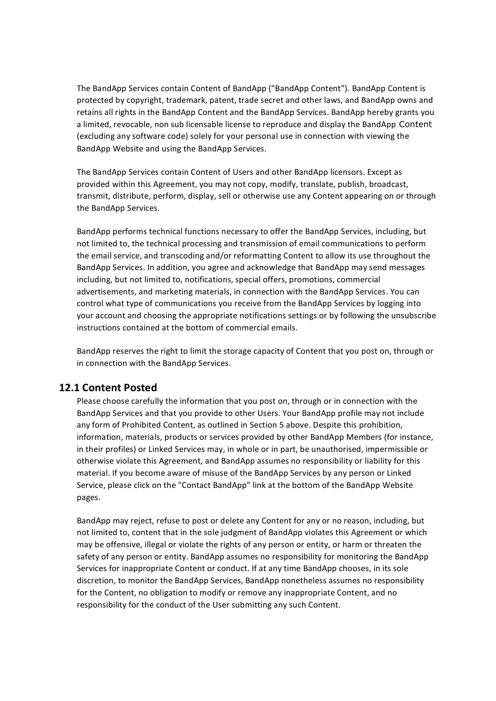The BandApp Services contain Content of BandApp ("BandApp Content"). BandApp Content is protected by copyright, trademark, patent, trade secret and other laws, and BandApp owns and retains all rights in the BandApp Content and the BandApp Services. BandApp hereby grants you a limited, revocable, non sub licensable license to reproduce and display the BandApp Content (excluding any software code) solely for your personal use in connection with viewing the BandApp Website and using the BandApp Services.

The BandApp Services contain Content of Users and other BandApp licensors. Except as provided within this Agreement, you may not copy, modify, translate, publish, broadcast, transmit, distribute, perform, display, sell or otherwise use any Content appearing on or through the BandApp Services.

BandApp performs technical functions necessary to offer the BandApp Services, including, but not limited to, the technical processing and transmission of email communications to perform the email service, and transcoding and/or reformatting Content to allow its use throughout the BandApp Services. In addition, you agree and acknowledge that BandApp may send messages including, but not limited to, notifications, special offers, promotions, commercial advertisements, and marketing materials, in connection with the BandApp Services. You can control what type of communications you receive from the BandApp Services by logging into your account and choosing the appropriate notifications settings or by following the unsubscribe instructions contained at the bottom of commercial emails.

BandApp reserves the right to limit the storage capacity of Content that you post on, through or in connection with the BandApp Services.

#### **12.1'Content'Posted**

Please choose carefully the information that you post on, through or in connection with the BandApp Services and that you provide to other Users. Your BandApp profile may not include any form of Prohibited Content, as outlined in Section 5 above. Despite this prohibition, information, materials, products or services provided by other BandApp Members (for instance, in their profiles) or Linked Services may, in whole or in part, be unauthorised, impermissible or otherwise violate this Agreement, and BandApp assumes no responsibility or liability for this material. If you become aware of misuse of the BandApp Services by any person or Linked Service, please click on the "Contact BandApp" link at the bottom of the BandApp Website pages.

BandApp may reject, refuse to post or delete any Content for any or no reason, including, but not limited to, content that in the sole judgment of BandApp violates this Agreement or which may be offensive, illegal or violate the rights of any person or entity, or harm or threaten the safety of any person or entity. BandApp assumes no responsibility for monitoring the BandApp Services for inappropriate Content or conduct. If at any time BandApp chooses, in its sole discretion, to monitor the BandApp Services, BandApp nonetheless assumes no responsibility for the Content, no obligation to modify or remove any inappropriate Content, and no responsibility for the conduct of the User submitting any such Content.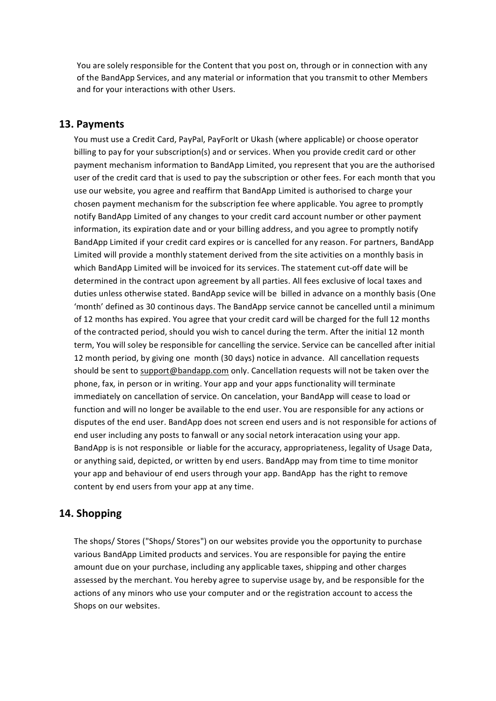You are solely responsible for the Content that you post on, through or in connection with any of the BandApp Services, and any material or information that you transmit to other Members and for your interactions with other Users.

#### 13. Payments

You must use a Credit Card, PayPal, PayForIt or Ukash (where applicable) or choose operator billing to pay for your subscription(s) and or services. When you provide credit card or other payment mechanism information to BandApp Limited, you represent that you are the authorised user of the credit card that is used to pay the subscription or other fees. For each month that you use our website, you agree and reaffirm that BandApp Limited is authorised to charge your chosen payment mechanism for the subscription fee where applicable. You agree to promptly notify BandApp Limited of any changes to your credit card account number or other payment information, its expiration date and or your billing address, and you agree to promptly notify BandApp Limited if your credit card expires or is cancelled for any reason. For partners, BandApp Limited will provide a monthly statement derived from the site activities on a monthly basis in which BandApp Limited will be invoiced for its services. The statement cut-off date will be determined in the contract upon agreement by all parties. All fees exclusive of local taxes and duties unless otherwise stated. BandApp sevice will be billed in advance on a monthly basis (One 'month' defined as 30 continous days. The BandApp service cannot be cancelled until a minimum of 12 months has expired. You agree that your credit card will be charged for the full 12 months of the contracted period, should you wish to cancel during the term. After the initial 12 month term, You will soley be responsible for cancelling the service. Service can be cancelled after initial 12 month period, by giving one month (30 days) notice in advance. All cancellation requests should be sent to support@bandapp.com only. Cancellation requests will not be taken over the phone, fax, in person or in writing. Your app and your apps functionality will terminate immediately on cancellation of service. On cancelation, your BandApp will cease to load or function and will no longer be available to the end user. You are responsible for any actions or disputes of the end user. BandApp does not screen end users and is not responsible for actions of end user including any posts to fanwall or any social netork interacation using your app. BandApp is is not responsible or liable for the accuracy, appropriateness, legality of Usage Data, or anything said, depicted, or written by end users. BandApp may from time to time monitor your app and behaviour of end users through your app. BandApp has the right to remove content by end users from your app at any time.

#### 14. Shopping

The shops/ Stores ("Shops/ Stores") on our websites provide you the opportunity to purchase various BandApp Limited products and services. You are responsible for paying the entire amount due on your purchase, including any applicable taxes, shipping and other charges assessed by the merchant. You hereby agree to supervise usage by, and be responsible for the actions of any minors who use your computer and or the registration account to access the Shops on our websites.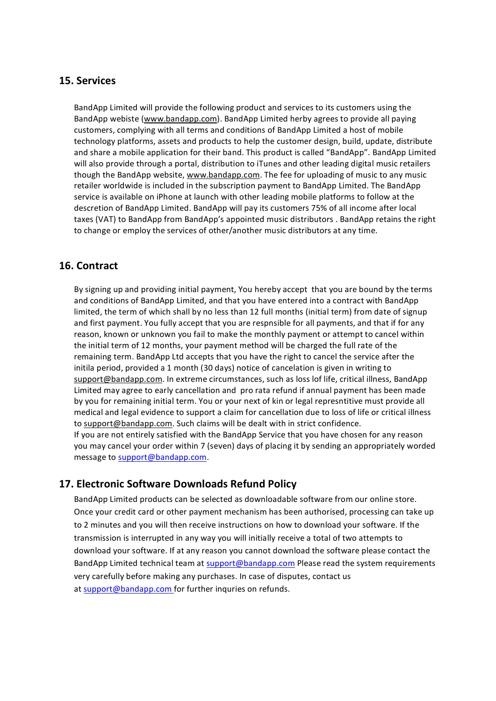#### 15. Services

BandApp Limited will provide the following product and services to its customers using the BandApp webiste (www.bandapp.com). BandApp Limited herby agrees to provide all paying customers, complying with all terms and conditions of BandApp Limited a host of mobile technology platforms, assets and products to help the customer design, build, update, distribute and share a mobile application for their band. This product is called "BandApp". BandApp Limited will also provide through a portal, distribution to iTunes and other leading digital music retailers though the BandApp website, www.bandapp.com. The fee for uploading of music to any music retailer worldwide is included in the subscription payment to BandApp Limited. The BandApp service is available on iPhone at launch with other leading mobile platforms to follow at the descretion of BandApp Limited. BandApp will pay its customers 75% of all income after local taxes (VAT) to BandApp from BandApp's appointed music distributors . BandApp retains the right to change or employ the services of other/another music distributors at any time.

#### 16. Contract

By signing up and providing initial payment. You hereby accept that you are bound by the terms and conditions of BandApp Limited, and that you have entered into a contract with BandApp limited, the term of which shall by no less than 12 full months (initial term) from date of signup and first payment. You fully accept that you are respnsible for all payments, and that if for any reason, known or unknown you fail to make the monthly payment or attempt to cancel within the initial term of 12 months, your payment method will be charged the full rate of the remaining term. BandApp Ltd accepts that you have the right to cancel the service after the initila period, provided a 1 month (30 days) notice of cancelation is given in writing to support@bandapp.com. In extreme circumstances, such as loss lof life, critical illness, BandApp Limited may agree to early cancellation and pro rata refund if annual payment has been made by you for remaining initial term. You or your next of kin or legal represntitive must provide all medical and legal evidence to support a claim for cancellation due to loss of life or critical illness to support@bandapp.com. Such claims will be dealt with in strict confidence. If you are not entirely satisfied with the BandApp Service that you have chosen for any reason you may cancel your order within 7 (seven) days of placing it by sending an appropriately worded message to support@bandapp.com.

#### 17. Electronic Software Downloads Refund Policy

BandApp Limited products can be selected as downloadable software from our online store. Once your credit card or other payment mechanism has been authorised, processing can take up to 2 minutes and you will then receive instructions on how to download your software. If the transmission is interrupted in any way you will initially receive a total of two attempts to download your software. If at any reason you cannot download the software please contact the BandApp Limited technical team at support@bandapp.com Please read the system requirements very carefully before making any purchases. In case of disputes, contact us at support@bandapp.com for further inquries on refunds.